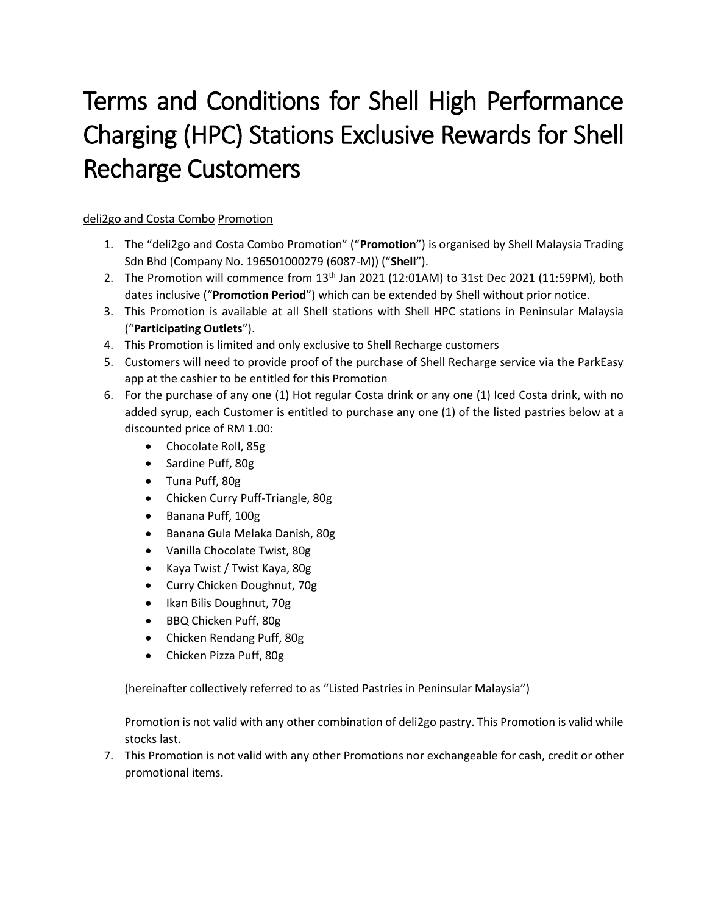## Terms and Conditions for Shell High Performance Charging (HPC) Stations Exclusive Rewards for Shell Recharge Customers

## deli2go and Costa Combo Promotion

- 1. The "deli2go and Costa Combo Promotion" ("**Promotion**") is organised by Shell Malaysia Trading Sdn Bhd (Company No. 196501000279 (6087-M)) ("**Shell**").
- 2. The Promotion will commence from  $13<sup>th</sup>$  Jan 2021 (12:01AM) to 31st Dec 2021 (11:59PM), both dates inclusive ("**Promotion Period**") which can be extended by Shell without prior notice.
- 3. This Promotion is available at all Shell stations with Shell HPC stations in Peninsular Malaysia ("**Participating Outlets**").
- 4. This Promotion is limited and only exclusive to Shell Recharge customers
- 5. Customers will need to provide proof of the purchase of Shell Recharge service via the ParkEasy app at the cashier to be entitled for this Promotion
- 6. For the purchase of any one (1) Hot regular Costa drink or any one (1) Iced Costa drink, with no added syrup, each Customer is entitled to purchase any one (1) of the listed pastries below at a discounted price of RM 1.00:
	- Chocolate Roll, 85g
	- Sardine Puff, 80g
	- Tuna Puff, 80g
	- Chicken Curry Puff-Triangle, 80g
	- Banana Puff, 100g
	- Banana Gula Melaka Danish, 80g
	- Vanilla Chocolate Twist, 80g
	- Kaya Twist / Twist Kaya, 80g
	- Curry Chicken Doughnut, 70g
	- Ikan Bilis Doughnut, 70g
	- BBQ Chicken Puff, 80g
	- Chicken Rendang Puff, 80g
	- Chicken Pizza Puff, 80g

(hereinafter collectively referred to as "Listed Pastries in Peninsular Malaysia")

Promotion is not valid with any other combination of deli2go pastry. This Promotion is valid while stocks last.

7. This Promotion is not valid with any other Promotions nor exchangeable for cash, credit or other promotional items.